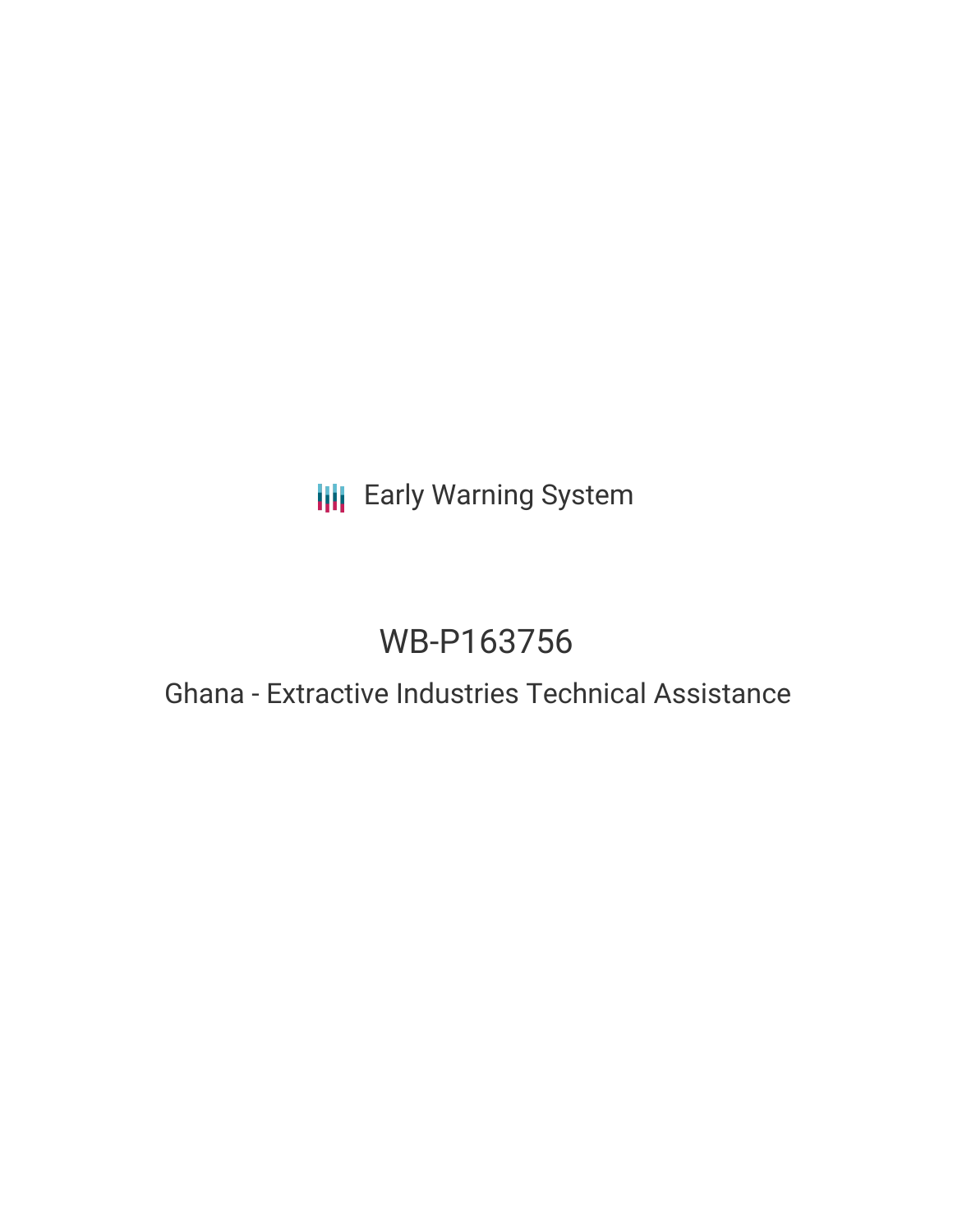## **III** Early Warning System

# WB-P163756

### Ghana - Extractive Industries Technical Assistance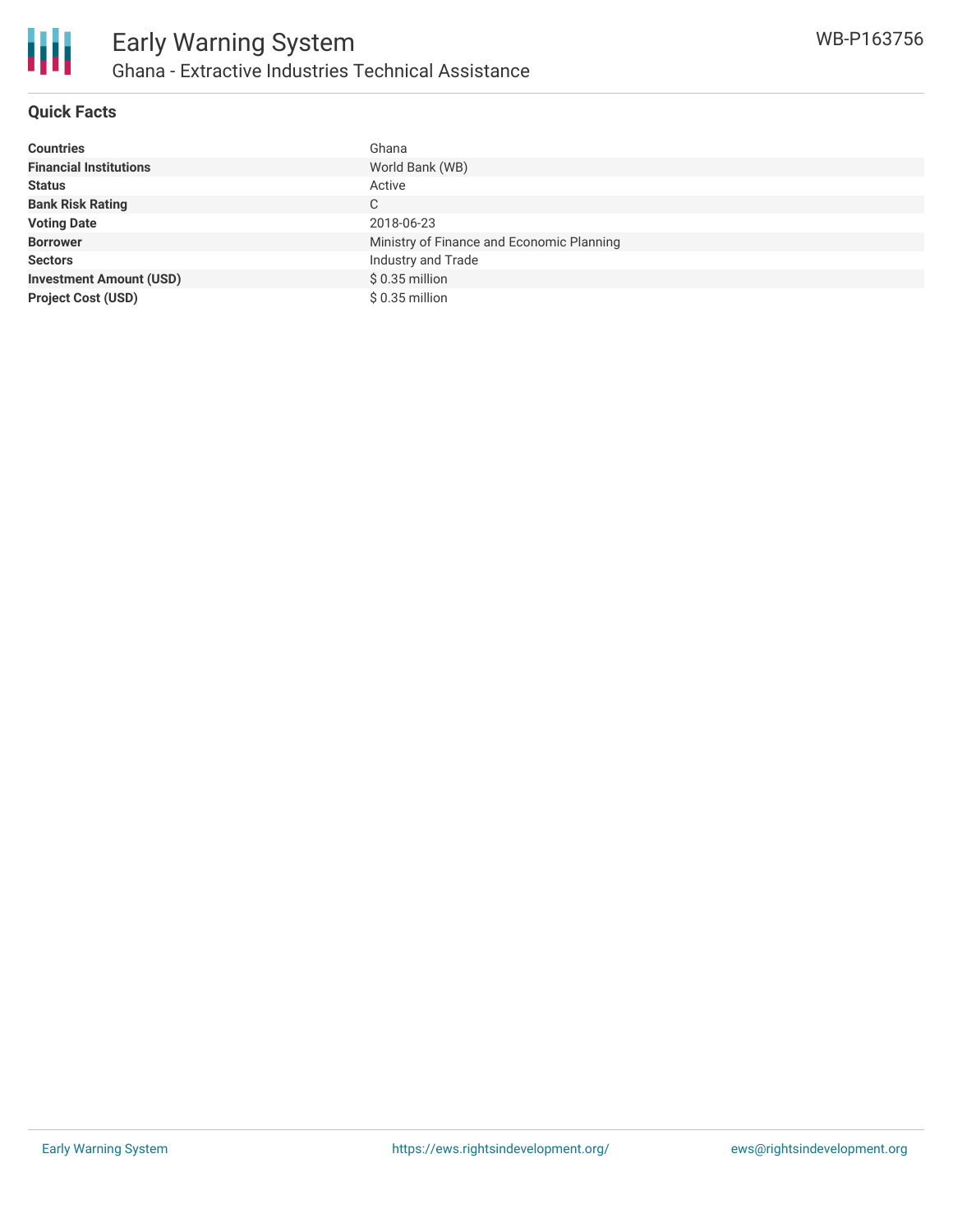

#### **Quick Facts**

| <b>Countries</b>               | Ghana                                     |
|--------------------------------|-------------------------------------------|
| <b>Financial Institutions</b>  | World Bank (WB)                           |
| <b>Status</b>                  | Active                                    |
| <b>Bank Risk Rating</b>        | C                                         |
| <b>Voting Date</b>             | 2018-06-23                                |
| <b>Borrower</b>                | Ministry of Finance and Economic Planning |
| <b>Sectors</b>                 | Industry and Trade                        |
| <b>Investment Amount (USD)</b> | $$0.35$ million                           |
| <b>Project Cost (USD)</b>      | $$0.35$ million                           |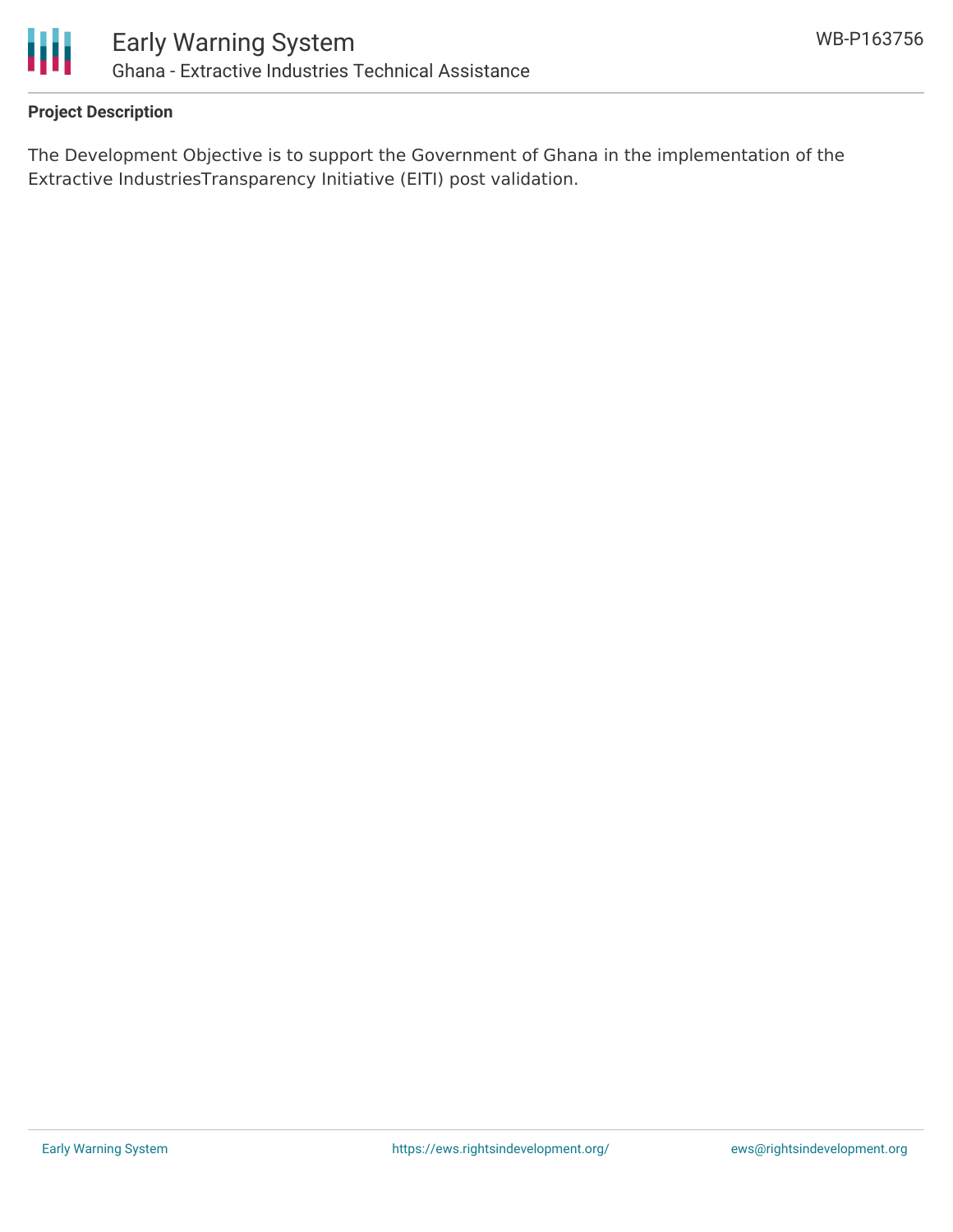

#### **Project Description**

The Development Objective is to support the Government of Ghana in the implementation of the Extractive IndustriesTransparency Initiative (EITI) post validation.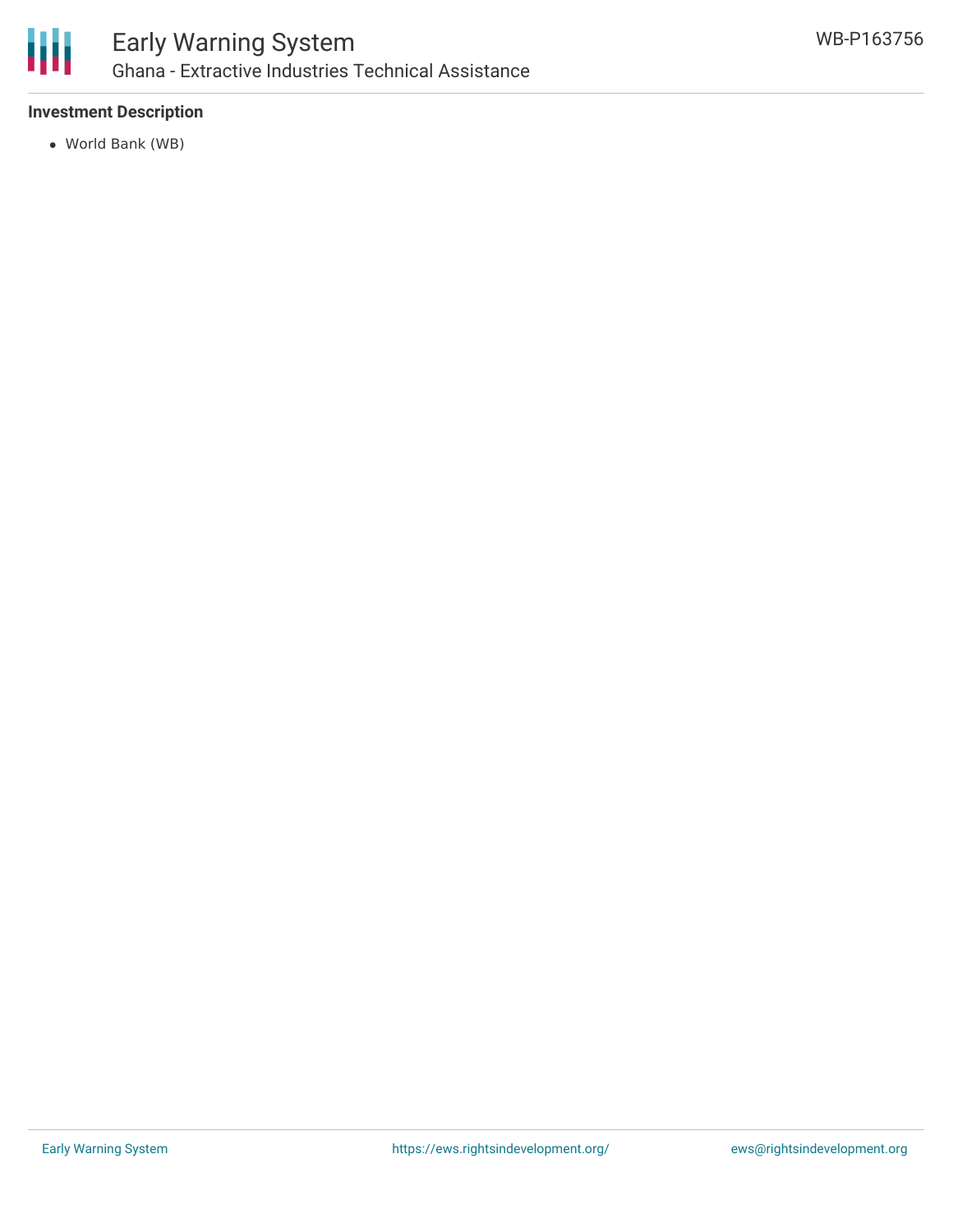

#### **Investment Description**

World Bank (WB)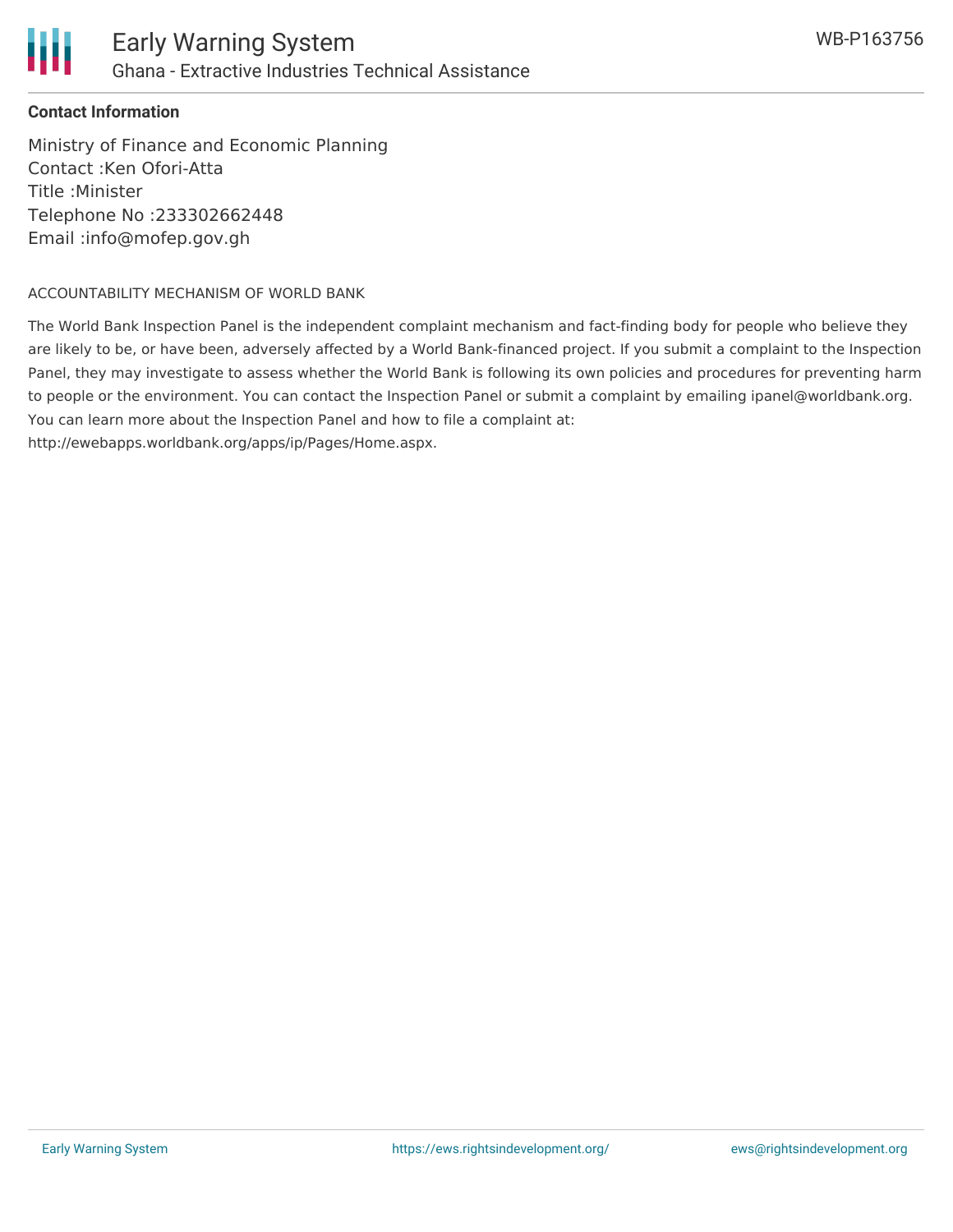

#### **Contact Information**

Ministry of Finance and Economic Planning Contact :Ken Ofori-Atta Title :Minister Telephone No :233302662448 Email :info@mofep.gov.gh

#### ACCOUNTABILITY MECHANISM OF WORLD BANK

The World Bank Inspection Panel is the independent complaint mechanism and fact-finding body for people who believe they are likely to be, or have been, adversely affected by a World Bank-financed project. If you submit a complaint to the Inspection Panel, they may investigate to assess whether the World Bank is following its own policies and procedures for preventing harm to people or the environment. You can contact the Inspection Panel or submit a complaint by emailing ipanel@worldbank.org. You can learn more about the Inspection Panel and how to file a complaint at: http://ewebapps.worldbank.org/apps/ip/Pages/Home.aspx.